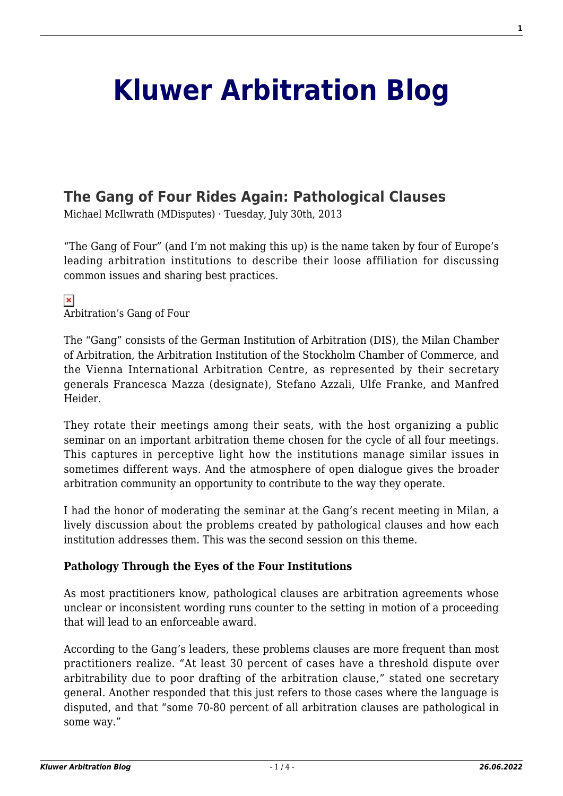# **[Kluwer Arbitration Blog](http://arbitrationblog.kluwerarbitration.com/)**

## **[The Gang of Four Rides Again: Pathological Clauses](http://arbitrationblog.kluwerarbitration.com/2013/07/30/the-gang-of-four-rides-again-pathological-clauses/)**

Michael McIlwrath (MDisputes) · Tuesday, July 30th, 2013

"The Gang of Four" (and I'm not making this up) is the name taken by four of Europe's leading arbitration institutions to describe their loose affiliation for discussing common issues and sharing best practices.

#### $\pmb{\times}$ Arbitration's Gang of Four

The "Gang" consists of the German Institution of Arbitration (DIS), the Milan Chamber of Arbitration, the Arbitration Institution of the Stockholm Chamber of Commerce, and the Vienna International Arbitration Centre, as represented by their secretary generals Francesca Mazza (designate), Stefano Azzali, Ulfe Franke, and Manfred Heider.

They rotate their meetings among their seats, with the host organizing a public seminar on an important arbitration theme chosen for the cycle of all four meetings. This captures in perceptive light how the institutions manage similar issues in sometimes different ways. And the atmosphere of open dialogue gives the broader arbitration community an opportunity to contribute to the way they operate.

I had the honor of moderating the seminar at the Gang's recent meeting in Milan, a lively discussion about the problems created by pathological clauses and how each institution addresses them. This was the second session on this theme.

### **Pathology Through the Eyes of the Four Institutions**

As most practitioners know, pathological clauses are arbitration agreements whose unclear or inconsistent wording runs counter to the setting in motion of a proceeding that will lead to an enforceable award.

According to the Gang's leaders, these problems clauses are more frequent than most practitioners realize. "At least 30 percent of cases have a threshold dispute over arbitrability due to poor drafting of the arbitration clause," stated one secretary general. Another responded that this just refers to those cases where the language is disputed, and that "some 70-80 percent of all arbitration clauses are pathological in some way."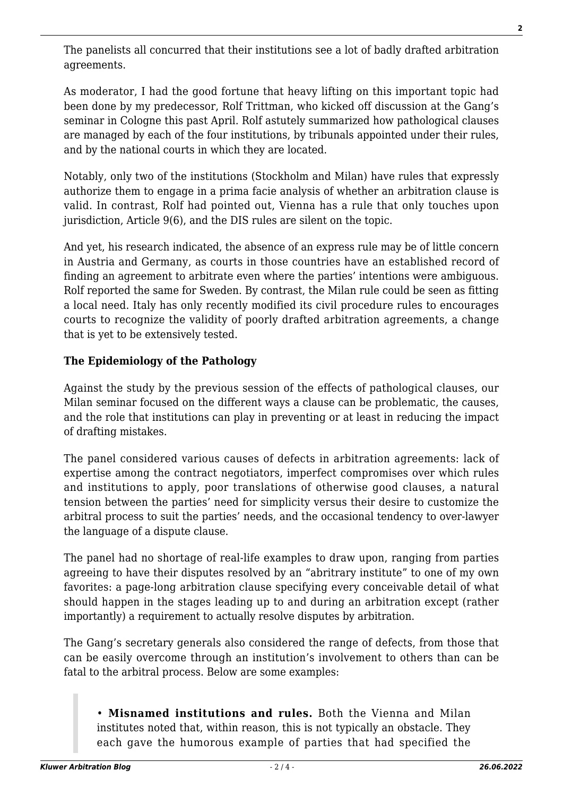The panelists all concurred that their institutions see a lot of badly drafted arbitration agreements.

As moderator, I had the good fortune that heavy lifting on this important topic had been done by my predecessor, Rolf Trittman, who kicked off discussion at the Gang's seminar in Cologne this past April. Rolf astutely summarized how pathological clauses are managed by each of the four institutions, by tribunals appointed under their rules, and by the national courts in which they are located.

Notably, only two of the institutions (Stockholm and Milan) have rules that expressly authorize them to engage in a prima facie analysis of whether an arbitration clause is valid. In contrast, Rolf had pointed out, Vienna has a rule that only touches upon jurisdiction, Article 9(6), and the DIS rules are silent on the topic.

And yet, his research indicated, the absence of an express rule may be of little concern in Austria and Germany, as courts in those countries have an established record of finding an agreement to arbitrate even where the parties' intentions were ambiguous. Rolf reported the same for Sweden. By contrast, the Milan rule could be seen as fitting a local need. Italy has only recently modified its civil procedure rules to encourages courts to recognize the validity of poorly drafted arbitration agreements, a change that is yet to be extensively tested.

### **The Epidemiology of the Pathology**

Against the study by the previous session of the effects of pathological clauses, our Milan seminar focused on the different ways a clause can be problematic, the causes, and the role that institutions can play in preventing or at least in reducing the impact of drafting mistakes.

The panel considered various causes of defects in arbitration agreements: lack of expertise among the contract negotiators, imperfect compromises over which rules and institutions to apply, poor translations of otherwise good clauses, a natural tension between the parties' need for simplicity versus their desire to customize the arbitral process to suit the parties' needs, and the occasional tendency to over-lawyer the language of a dispute clause.

The panel had no shortage of real-life examples to draw upon, ranging from parties agreeing to have their disputes resolved by an "abritrary institute" to one of my own favorites: a page-long arbitration clause specifying every conceivable detail of what should happen in the stages leading up to and during an arbitration except (rather importantly) a requirement to actually resolve disputes by arbitration.

The Gang's secretary generals also considered the range of defects, from those that can be easily overcome through an institution's involvement to others than can be fatal to the arbitral process. Below are some examples:

• **Misnamed institutions and rules.** Both the Vienna and Milan institutes noted that, within reason, this is not typically an obstacle. They each gave the humorous example of parties that had specified the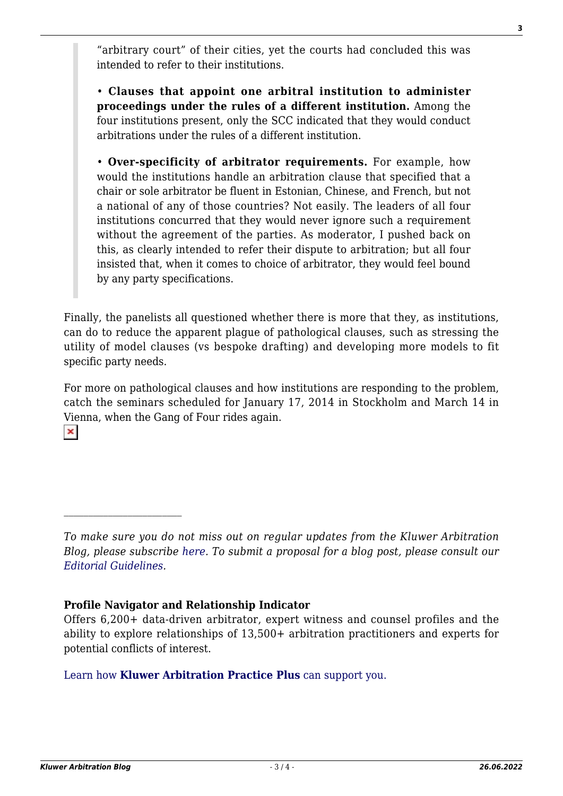"arbitrary court" of their cities, yet the courts had concluded this was intended to refer to their institutions.

• **Clauses that appoint one arbitral institution to administer proceedings under the rules of a different institution.** Among the four institutions present, only the SCC indicated that they would conduct arbitrations under the rules of a different institution.

• **Over-specificity of arbitrator requirements.** For example, how would the institutions handle an arbitration clause that specified that a chair or sole arbitrator be fluent in Estonian, Chinese, and French, but not a national of any of those countries? Not easily. The leaders of all four institutions concurred that they would never ignore such a requirement without the agreement of the parties. As moderator, I pushed back on this, as clearly intended to refer their dispute to arbitration; but all four insisted that, when it comes to choice of arbitrator, they would feel bound by any party specifications.

Finally, the panelists all questioned whether there is more that they, as institutions, can do to reduce the apparent plague of pathological clauses, such as stressing the utility of model clauses (vs bespoke drafting) and developing more models to fit specific party needs.

For more on pathological clauses and how institutions are responding to the problem, catch the seminars scheduled for January 17, 2014 in Stockholm and March 14 in Vienna, when the Gang of Four rides again.  $\pmb{\times}$ 

### **Profile Navigator and Relationship Indicator**

#### [Learn how](https://www.wolterskluwer.com/en/solutions/kluwerarbitration/practiceplus?utm_source=arbitrationblog&utm_medium=articleCTA&utm_campaign=article-banner) **[Kluwer Arbitration Practice Plus](https://www.wolterskluwer.com/en/solutions/kluwerarbitration/practiceplus?utm_source=arbitrationblog&utm_medium=articleCTA&utm_campaign=article-banner)** [can support you.](https://www.wolterskluwer.com/en/solutions/kluwerarbitration/practiceplus?utm_source=arbitrationblog&utm_medium=articleCTA&utm_campaign=article-banner)

*To make sure you do not miss out on regular updates from the Kluwer Arbitration Blog, please subscribe [here](http://arbitrationblog.kluwerarbitration.com/newsletter/). To submit a proposal for a blog post, please consult our [Editorial Guidelines.](http://arbitrationblog.kluwerarbitration.com/editorial-guidelines/)*

Offers 6,200+ data-driven arbitrator, expert witness and counsel profiles and the ability to explore relationships of 13,500+ arbitration practitioners and experts for potential conflicts of interest.